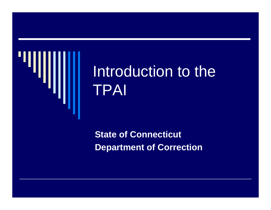

# Introduction to the TPAI

**State of Connecticut Department of Correction**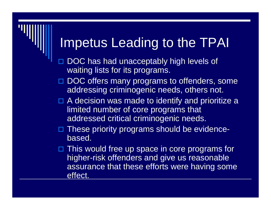#### Impetus Leading to the TPAI

- $\blacksquare$  DOC has had unacceptably high levels of waiting lists for its programs.
- □ DOC offers many programs to offenders, some addressing criminogenic needs, others not.
- $\Box$  A decision was made to identify and prioritize a limited number of core programs that addressed critical criminogenic needs.
- □ These priority programs should be evidencebased.
- □ This would free up space in core programs for higher-risk offenders and give us reasonable assurance that these efforts were having some effect.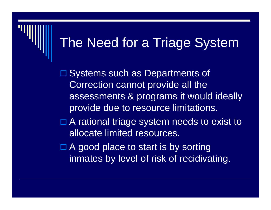### The Need for a Triage System

□ Systems such as Departments of Correction cannot provide all the assessments & programs it would ideally provide due to resource limitations.

□ A rational triage system needs to exist to allocate limited resources.

 $\Box$  A good place to start is by sorting inmates by level of risk of recidivating.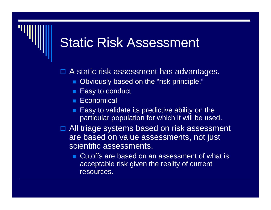#### Static Risk Assessment

□ A static risk assessment has advantages.

- Obviously based on the "risk principle."
- Easy to conduct
- Economical
- $\blacksquare$  Easy to validate its predictive ability on the particular population for which it will be used.
- □ All triage systems based on risk assessment are based on value assessments, not just scientific assessments.
	- Cutoffs are based on an assessment of what is acceptable risk given the reality of current resources.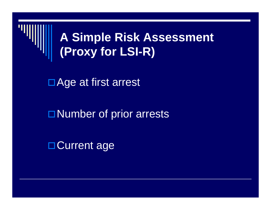

#### **A Simple Risk Assessment (Proxy for LSI-R)**

□ Age at first arrest

**Number of prior arrests** 

□ Current age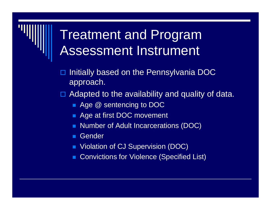### Treatment and Program Assessment Instrument

- $\blacksquare$  Initially based on the Pennsylvania DOC approach.
- $\Box$  Adapted to the availability and quality of data.
	- **Age @ sentencing to DOC**
	- **Age at first DOC movement**
	- Number of Adult Incarcerations (DOC)
	- **Gender**
	- Violation of CJ Supervision (DOC)
	- Convictions for Violence (Specified List)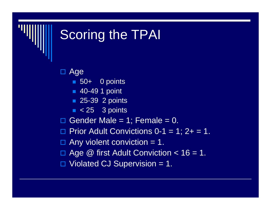# Scoring the TPAI

□ Age

- 50+ 0 points
- 40-49 1 point
- 25-39 2 points
- $\blacksquare$  < 25  $\,$  3 points
- □. Gender Male =  $1$ ; Female =  $0$ .
- $\Box$  Prior Adult Convictions 0-1 = 1; 2+ = 1.

 $\Box$  Any violent conviction = 1.

□ Age @ first Adult Conviction < 16 = 1.

 $\Box$  Violated CJ Supervision = 1.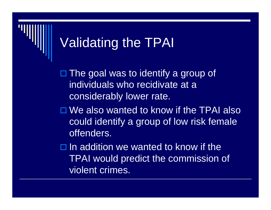### Validating the TPAI

□ The goal was to identify a group of individuals who recidivate at a considerably lower rate.

□ We also wanted to know if the TPAI also could identify a group of low risk female offenders.

 $\Box$  In addition we wanted to know if the TPAI would predict the commission of violent crimes.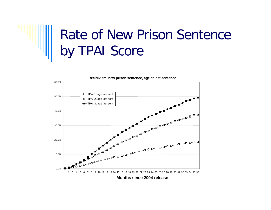# Rate of New Prison Sentence by TPAI Score



**Months since 2004 release**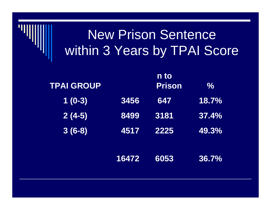### New Prison Sentence within 3 Years by TPAI Score

| <b>TPAI GROUP</b>    |       | n to<br><b>Prison</b> | $\%$  |
|----------------------|-------|-----------------------|-------|
| $\overline{1}$ (0-3) | 3456  | 647                   | 18.7% |
| $2(4-5)$             | 8499  | 3181                  | 37.4% |
| $3(6-8)$             | 4517  | 2225                  | 49.3% |
|                      |       |                       |       |
|                      | 16472 | 6053                  | 36.7% |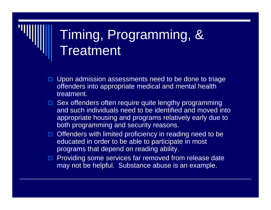# Timing, Programming, & **Treatment**

- $\Box$  Upon admission assessments need to be done to triage offenders into appropriate medical and mental health treatment.
- □ Sex offenders often require quite lengthy programming and such individuals need to be identified and moved into appropriate housing and programs relatively early due to both programming and security reasons.
- $\Box$  Offenders with limited proficiency in reading need to be educated in order to be able to participate in most programs that depend on reading ability.
- $\Box$  Providing some services far removed from release date may not be helpful. Substance abuse is an example.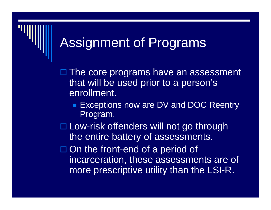### Assignment of Programs

□ The core programs have an assessment that will be used prior to a person's enrollment.

■ Exceptions now are DV and DOC Reentry Program.

□ Low-risk offenders will not go through the entire battery of assessments.

□ On the front-end of a period of incarceration, these assessments are of more prescriptive utility than the LSI-R.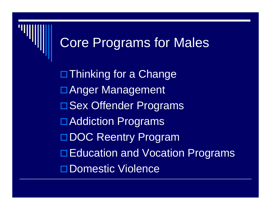### Core Programs for Males

**<u>D</u>Thinking for a Change □Anger Management □ Sex Offender Programs** □ Addiction Programs □DOC Reentry Program □ Education and Vocation Programs □Domestic Violence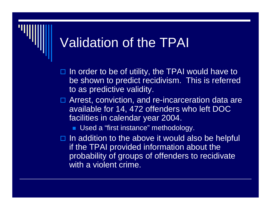### Validation of the TPAI

- $\Box$  In order to be of utility, the TPAI would have to be shown to predict recidivism. This is referred to as predictive validity.
- □ Arrest, conviction, and re-incarceration data are available for 14, 472 offenders who left DOC facilities in calendar year 2004.

■ Used a "first instance" methodology.

 $\Box$  In addition to the above it would also be helpful if the TPAI provided information about the probability of groups of offenders to recidivate with a violent crime.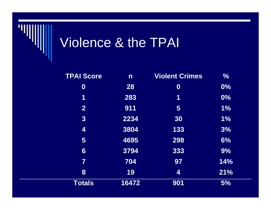

# Violence & the TPAI

| <b>TPAI Score</b>       | $\overline{\mathsf{n}}$ | <b>Violent Crimes</b>   | $\frac{0}{0}$ |
|-------------------------|-------------------------|-------------------------|---------------|
| $\boldsymbol{0}$        | 28                      | $\boldsymbol{0}$        | $0\%$         |
| 1                       | 283                     | 1                       | 0%            |
| $\mathbf{2}$            | 911                     | $\overline{\mathbf{5}}$ | $1\%$         |
| 3                       | 2234                    | 30                      | 1%            |
| 4                       | 3804                    | 133                     | 3%            |
| 5                       | 4695                    | 298                     | 6%            |
| 6                       | 3794                    | 333                     | 9%            |
| $\overline{\mathbf{7}}$ | 704                     | 97                      | 14%           |
| 8                       | 19                      | 4                       | 21%           |
| <b>Totals</b>           | 16472                   | 901                     | 5%            |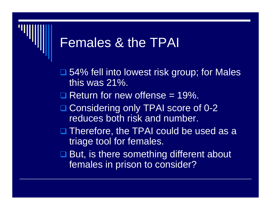#### Females & the TPAI

- **□ 54% fell into lowest risk group; for Males** this was 21%.
- $\Box$  Return for new offense = 19%.
- □ Considering only TPAI score of 0-2 reduces both risk and number.
- □ Therefore, the TPAI could be used as a triage tool for females.
- **□ But, is there something different about** females in prison to consider?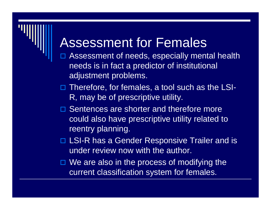#### Assessment for Females

- $\blacksquare$  Assessment of needs, especially mental health needs is in fact a predictor of institutional adjustment problems.
- □ Therefore, for females, a tool such as the LSI-R, may be of prescriptive utility.
- **□ Sentences are shorter and therefore more** could also have prescriptive utility related to reentry planning.
- □ LSI-R has a Gender Responsive Trailer and is under review now with the author.
- □ We are also in the process of modifying the current classification system for females.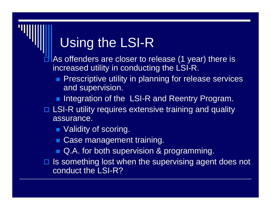### Using the LSI-R

 $\blacksquare$  As offenders are closer to release (1 year) there is increased utility in conducting the LSI-R.

- **Prescriptive utility in planning for release services** and supervision.
- **Integration of the LSI-R and Reentry Program.**
- □ LSI-R utility requires extensive training and quality assurance.
	- **Nalidity of scoring.**
	- **Case management training.**
	- Q.A. for both supervision & programming.
- $\Box$  Is something lost when the supervising agent does not conduct the LSI-R?